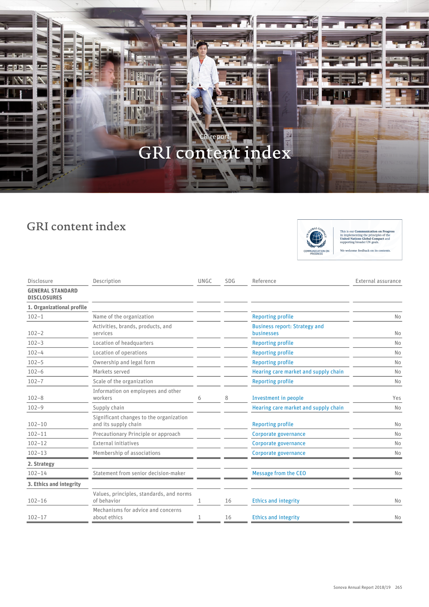

## GRI content index



This is our Communication on Progress<br>in implementing the principles of the<br>United Nations Global Compact and<br>supporting broader UN goals. We welcome feedback on its contents.

| Disclosure                                    | Description                                                     | UNGC | SDG | Reference                                          | External assurance |
|-----------------------------------------------|-----------------------------------------------------------------|------|-----|----------------------------------------------------|--------------------|
| <b>GENERAL STANDARD</b><br><b>DISCLOSURES</b> |                                                                 |      |     |                                                    |                    |
| 1. Organizational profile                     |                                                                 |      |     |                                                    |                    |
| $102 - 1$                                     | Name of the organization                                        |      |     | <b>Reporting profile</b>                           | No                 |
| $102 - 2$                                     | Activities, brands, products, and<br>services                   |      |     | <b>Business report: Strategy and</b><br>businesses | No                 |
| $102 - 3$                                     | Location of headquarters                                        |      |     | <b>Reporting profile</b>                           | No                 |
| $102 - 4$                                     | Location of operations                                          |      |     | <b>Reporting profile</b>                           | No                 |
| $102 - 5$                                     | Ownership and legal form                                        |      |     | <b>Reporting profile</b>                           | No                 |
| $102 - 6$                                     | Markets served                                                  |      |     | Hearing care market and supply chain               | No                 |
| $102 - 7$                                     | Scale of the organization                                       |      |     | <b>Reporting profile</b>                           | No                 |
| $102 - 8$                                     | Information on employees and other<br>workers                   | 6    | 8   | Investment in people                               | Yes                |
| $102 - 9$                                     | Supply chain                                                    |      |     | Hearing care market and supply chain               | No                 |
| $102 - 10$                                    | Significant changes to the organization<br>and its supply chain |      |     | <b>Reporting profile</b>                           | No                 |
| $102 - 11$                                    | Precautionary Principle or approach                             |      |     | Corporate governance                               | No                 |
| $102 - 12$                                    | <b>External initiatives</b>                                     |      |     | Corporate governance                               | No                 |
| $102 - 13$                                    | Membership of associations                                      |      |     | Corporate governance                               | No                 |
| 2. Strategy                                   |                                                                 |      |     |                                                    |                    |
| $102 - 14$                                    | Statement from senior decision-maker                            |      |     | Message from the CEO                               | No                 |
| 3. Ethics and integrity                       |                                                                 |      |     |                                                    |                    |
| $102 - 16$                                    | Values, principles, standards, and norms<br>of behavior         |      | 16  | <b>Ethics and integrity</b>                        | No                 |
| $102 - 17$                                    | Mechanisms for advice and concerns<br>about ethics              |      | 16  | <b>Ethics and integrity</b>                        | No                 |
|                                               |                                                                 |      |     |                                                    |                    |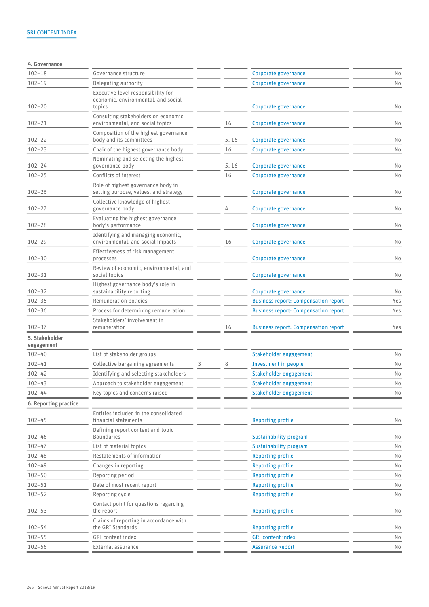| 4. Governance                |                                                                             |   |       |                                             |     |
|------------------------------|-----------------------------------------------------------------------------|---|-------|---------------------------------------------|-----|
| $102 - 18$                   | Governance structure                                                        |   |       | Corporate governance                        | No  |
| $102 - 19$                   | Delegating authority                                                        |   |       | Corporate governance                        | No  |
|                              | Executive-level responsibility for<br>economic, environmental, and social   |   |       |                                             |     |
| $102 - 20$                   | topics                                                                      |   |       | Corporate governance                        | No  |
| $102 - 21$                   | Consulting stakeholders on economic,<br>environmental, and social topics    |   | 16    | Corporate governance                        | No  |
| $102 - 22$                   | Composition of the highest governance<br>body and its committees            |   | 5, 16 | Corporate governance                        | No  |
| $102 - 23$                   | Chair of the highest governance body                                        |   | 16    | Corporate governance                        | No  |
| $102 - 24$                   | Nominating and selecting the highest<br>governance body                     |   | 5, 16 | Corporate governance                        | No  |
| $102 - 25$                   | Conflicts of interest                                                       |   | 16    | Corporate governance                        | No  |
| $102 - 26$                   | Role of highest governance body in<br>setting purpose, values, and strategy |   |       | Corporate governance                        | No  |
| $102 - 27$                   | Collective knowledge of highest<br>governance body                          |   | 4     | Corporate governance                        | No  |
| $102 - 28$                   | Evaluating the highest governance<br>body's performance                     |   |       | Corporate governance                        | No  |
| $102 - 29$                   | Identifying and managing economic,<br>environmental, and social impacts     |   | 16    | Corporate governance                        | No  |
| $102 - 30$                   | Effectiveness of risk management<br>processes                               |   |       | Corporate governance                        | No  |
| $102 - 31$                   | Review of economic, environmental, and<br>social topics                     |   |       | Corporate governance                        | No  |
| $102 - 32$                   | Highest governance body's role in<br>sustainability reporting               |   |       | Corporate governance                        | No  |
| $102 - 35$                   | Remuneration policies                                                       |   |       | <b>Business report: Compensation report</b> | Yes |
| $102 - 36$                   | Process for determining remuneration                                        |   |       | <b>Business report: Compensation report</b> | Yes |
| $102 - 37$                   | Stakeholders' involvement in<br>remuneration                                |   | 16    | <b>Business report: Compensation report</b> | Yes |
| 5. Stakeholder<br>engagement |                                                                             |   |       |                                             |     |
| $102 - 40$                   | List of stakeholder groups                                                  |   |       | Stakeholder engagement                      | No  |
| $102 - 41$                   | Collective bargaining agreements                                            | 3 | 8     | Investment in people                        | No  |
| $102 - 42$                   | Identifying and selecting stakeholders                                      |   |       | Stakeholder engagement                      | No  |
| $102 - 43$                   | Approach to stakeholder engagement                                          |   |       | Stakeholder engagement                      | No  |
| $102 - 44$                   | Key topics and concerns raised                                              |   |       | Stakeholder engagement                      | No  |
| 6. Reporting practice        |                                                                             |   |       |                                             |     |
| $102 - 45$                   | Entities included in the consolidated<br>financial statements               |   |       | <b>Reporting profile</b>                    | No  |
| $102 - 46$                   | Defining report content and topic<br><b>Boundaries</b>                      |   |       | Sustainability program                      | No  |
| $102 - 47$                   | List of material topics                                                     |   |       | Sustainability program                      | No  |
| $102 - 48$                   | Restatements of information                                                 |   |       | <b>Reporting profile</b>                    | No  |
| $102 - 49$                   | Changes in reporting                                                        |   |       | <b>Reporting profile</b>                    | No  |
| $102 - 50$                   | Reporting period                                                            |   |       | <b>Reporting profile</b>                    | No  |
| $102 - 51$                   | Date of most recent report                                                  |   |       | <b>Reporting profile</b>                    | No  |
| $102 - 52$                   | Reporting cycle                                                             |   |       | <b>Reporting profile</b>                    | No  |
| $102 - 53$                   | Contact point for questions regarding<br>the report                         |   |       | <b>Reporting profile</b>                    | No  |
| $102 - 54$                   | Claims of reporting in accordance with<br>the GRI Standards                 |   |       | <b>Reporting profile</b>                    | No  |
| $102 - 55$                   | GRI content index                                                           |   |       | <b>GRI</b> content index                    | No  |
| $102 - 56$                   | External assurance                                                          |   |       | <b>Assurance Report</b>                     | No  |
|                              |                                                                             |   |       |                                             |     |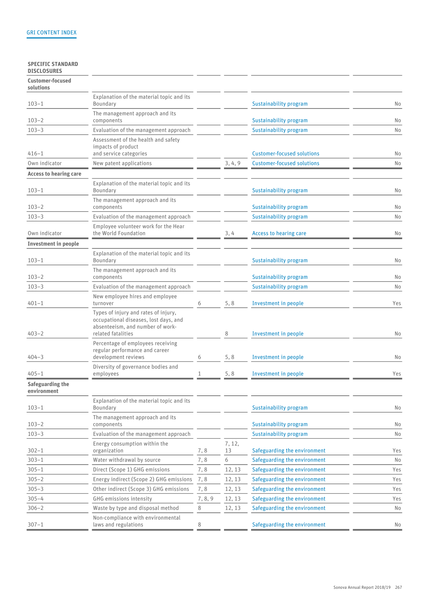## SPECIFIC STANDARD DISCLOSURES

| Customer-focused<br>solutions   |                                                                                                                                         |         |              |                                   |     |
|---------------------------------|-----------------------------------------------------------------------------------------------------------------------------------------|---------|--------------|-----------------------------------|-----|
| $103 - 1$                       | Explanation of the material topic and its<br>Boundary                                                                                   |         |              | Sustainability program            | No  |
| $103 - 2$                       | The management approach and its<br>components                                                                                           |         |              | Sustainability program            | No  |
| $103 - 3$                       | Evaluation of the management approach                                                                                                   |         |              | Sustainability program            | No  |
| $416 - 1$                       | Assessment of the health and safety<br>impacts of product<br>and service categories                                                     |         |              | <b>Customer-focused solutions</b> | No  |
| Own indicator                   | New patent applications                                                                                                                 |         | 3, 4, 9      | <b>Customer-focused solutions</b> | No  |
| <b>Access to hearing care</b>   |                                                                                                                                         |         |              |                                   |     |
| $103 - 1$                       | Explanation of the material topic and its<br>Boundary                                                                                   |         |              | Sustainability program            | No  |
| $103 - 2$                       | The management approach and its<br>components                                                                                           |         |              | Sustainability program            | No  |
| $103 - 3$                       | Evaluation of the management approach                                                                                                   |         |              | Sustainability program            | No  |
| Own indicator                   | Employee volunteer work for the Hear<br>the World Foundation                                                                            |         | 3,4          | Access to hearing care            | No  |
| <b>Investment in people</b>     |                                                                                                                                         |         |              |                                   |     |
| $103 - 1$                       | Explanation of the material topic and its<br>Boundary                                                                                   |         |              | Sustainability program            | No  |
| $103 - 2$                       | The management approach and its<br>components                                                                                           |         |              | Sustainability program            | No  |
| $103 - 3$                       | Evaluation of the management approach                                                                                                   |         |              | Sustainability program            | No  |
| $401 - 1$                       | New employee hires and employee<br>turnover                                                                                             | 6       | 5, 8         | Investment in people              | Yes |
| $403 - 2$                       | Types of injury and rates of injury,<br>occupational diseases, lost days, and<br>absenteeism, and number of work-<br>related fatalities |         | 8            | Investment in people              | No  |
| $404 - 3$                       | Percentage of employees receiving<br>regular performance and career<br>development reviews                                              | 6       | 5, 8         | Investment in people              | No  |
| $405 - 1$                       | Diversity of governance bodies and<br>employees                                                                                         | 1       | 5, 8         | Investment in people              | Yes |
| Safeguarding the<br>environment |                                                                                                                                         |         |              |                                   |     |
| $103 - 1$                       | Explanation of the material topic and its<br>Boundary                                                                                   |         |              | Sustainability program            | No  |
| $103 - 2$                       | The management approach and its<br>components                                                                                           |         |              | Sustainability program            | No  |
| $103 - 3$                       | Evaluation of the management approach                                                                                                   |         |              | Sustainability program            | No  |
| $302 - 1$                       | Energy consumption within the<br>organization                                                                                           | 7,8     | 7, 12,<br>13 | Safeguarding the environment      | Yes |
| $303 - 1$                       | Water withdrawal by source                                                                                                              | 7,8     | 6            | Safeguarding the environment      | No  |
| $305 - 1$                       | Direct (Scope 1) GHG emissions                                                                                                          | 7,8     | 12, 13       | Safeguarding the environment      | Yes |
| $305 - 2$                       | Energy indirect (Scope 2) GHG emissions                                                                                                 | 7,8     | 12, 13       | Safeguarding the environment      | Yes |
| $305 - 3$                       | Other indirect (Scope 3) GHG emissions                                                                                                  | 7,8     | 12, 13       | Safeguarding the environment      | Yes |
| $305 - 4$                       | GHG emissions intensity                                                                                                                 | 7, 8, 9 | 12, 13       | Safeguarding the environment      | Yes |
| $306 - 2$                       | Waste by type and disposal method                                                                                                       | 8       | 12, 13       | Safeguarding the environment      | No  |
| $307 - 1$                       | Non-compliance with environmental<br>laws and regulations                                                                               | 8       |              | Safeguarding the environment      | No  |
|                                 |                                                                                                                                         |         |              |                                   |     |